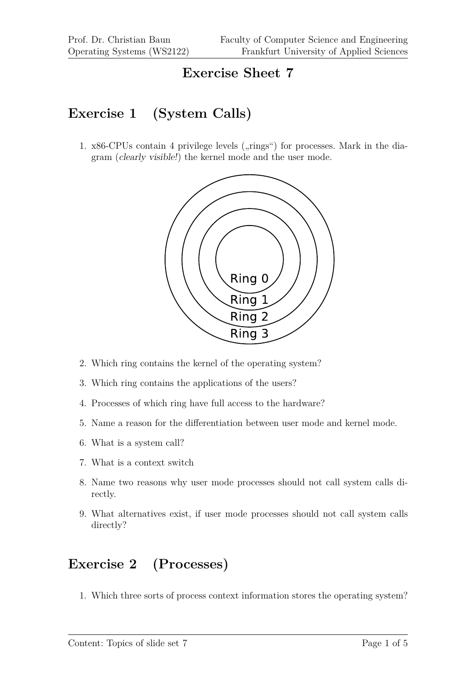#### **Exercise Sheet 7**

#### **Exercise 1 (System Calls)**

1.  $x86$ -CPUs contain 4 privilege levels ( $\pi$ ings") for processes. Mark in the diagram (clearly visible!) the kernel mode and the user mode.



- 2. Which ring contains the kernel of the operating system?
- 3. Which ring contains the applications of the users?
- 4. Processes of which ring have full access to the hardware?
- 5. Name a reason for the differentiation between user mode and kernel mode.
- 6. What is a system call?
- 7. What is a context switch
- 8. Name two reasons why user mode processes should not call system calls directly.
- 9. What alternatives exist, if user mode processes should not call system calls directly?

## **Exercise 2 (Processes)**

1. Which three sorts of process context information stores the operating system?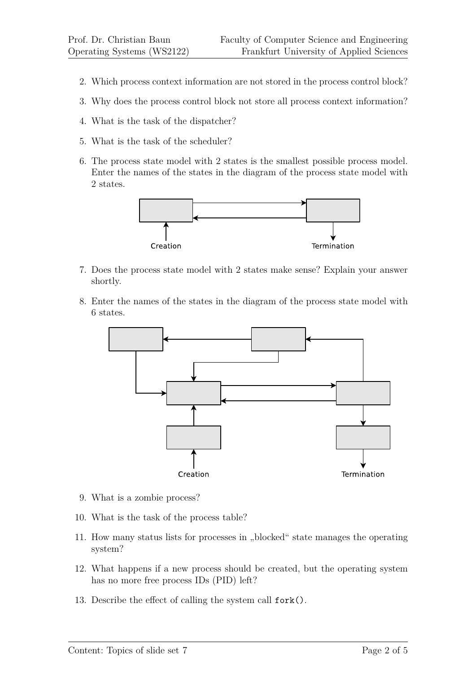- 2. Which process context information are not stored in the process control block?
- 3. Why does the process control block not store all process context information?
- 4. What is the task of the dispatcher?
- 5. What is the task of the scheduler?
- 6. The process state model with 2 states is the smallest possible process model. Enter the names of the states in the diagram of the process state model with 2 states.



- 7. Does the process state model with 2 states make sense? Explain your answer shortly.
- 8. Enter the names of the states in the diagram of the process state model with 6 states.



- 9. What is a zombie process?
- 10. What is the task of the process table?
- 11. How many status lists for processes in "blocked" state manages the operating system?
- 12. What happens if a new process should be created, but the operating system has no more free process IDs (PID) left?
- 13. Describe the effect of calling the system call fork().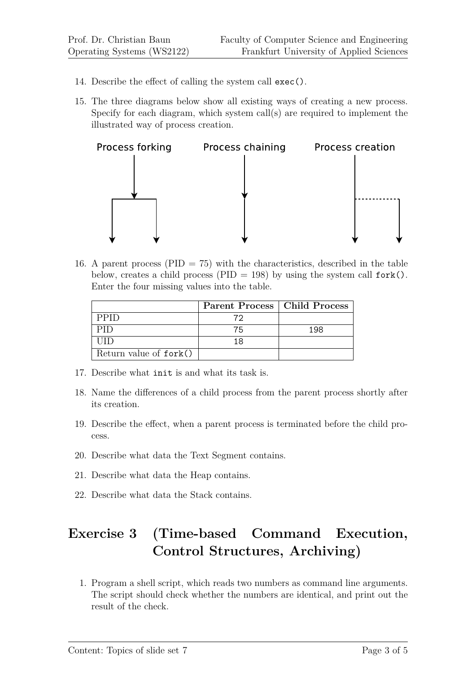- 14. Describe the effect of calling the system call exec().
- 15. The three diagrams below show all existing ways of creating a new process. Specify for each diagram, which system call(s) are required to implement the illustrated way of process creation.



16. A parent process (PID  $= 75$ ) with the characteristics, described in the table below, creates a child process (PID = 198) by using the system call  $fork()$ . Enter the four missing values into the table.

|                        | Parent Process   Child Process |     |
|------------------------|--------------------------------|-----|
| <b>PPID</b>            | 72                             |     |
| PID                    | 75                             | 198 |
| 1111                   | 18                             |     |
| Return value of fork() |                                |     |

- 17. Describe what init is and what its task is.
- 18. Name the differences of a child process from the parent process shortly after its creation.
- 19. Describe the effect, when a parent process is terminated before the child process.
- 20. Describe what data the Text Segment contains.
- 21. Describe what data the Heap contains.
- 22. Describe what data the Stack contains.

# **Exercise 3 (Time-based Command Execution, Control Structures, Archiving)**

1. Program a shell script, which reads two numbers as command line arguments. The script should check whether the numbers are identical, and print out the result of the check.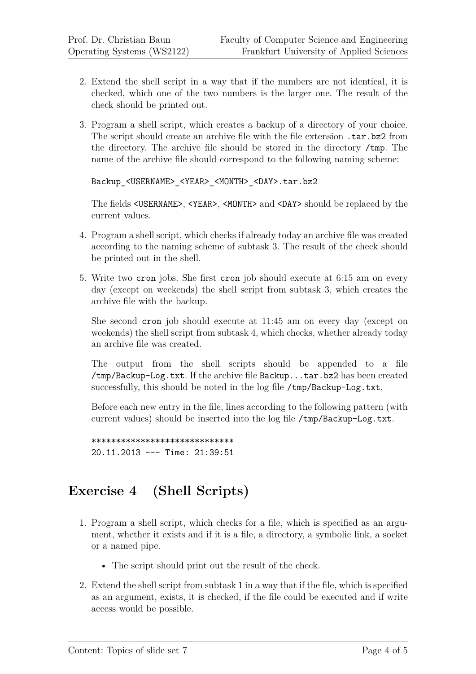- 2. Extend the shell script in a way that if the numbers are not identical, it is checked, which one of the two numbers is the larger one. The result of the check should be printed out.
- 3. Program a shell script, which creates a backup of a directory of your choice. The script should create an archive file with the file extension .tar.bz2 from the directory. The archive file should be stored in the directory /tmp. The name of the archive file should correspond to the following naming scheme:

```
Backup_<USERNAME>_<YEAR>_<MONTH>_<DAY>.tar.bz2
```
The fields  $\langle$ USERNAME>,  $\langle$ YEAR>,  $\langle$ MONTH> and  $\langle$ DAY> should be replaced by the current values.

- 4. Program a shell script, which checks if already today an archive file was created according to the naming scheme of subtask 3. The result of the check should be printed out in the shell.
- 5. Write two cron jobs. She first cron job should execute at 6:15 am on every day (except on weekends) the shell script from subtask 3, which creates the archive file with the backup.

She second cron job should execute at 11:45 am on every day (except on weekends) the shell script from subtask 4, which checks, whether already today an archive file was created.

The output from the shell scripts should be appended to a file /tmp/Backup-Log.txt. If the archive file Backup...tar.bz2 has been created successfully, this should be noted in the log file /tmp/Backup-Log.txt.

Before each new entry in the file, lines according to the following pattern (with current values) should be inserted into the log file /tmp/Backup-Log.txt.

```
*****************************
20.11.2013 --- Time: 21:39:51
```
## **Exercise 4 (Shell Scripts)**

- 1. Program a shell script, which checks for a file, which is specified as an argument, whether it exists and if it is a file, a directory, a symbolic link, a socket or a named pipe.
	- The script should print out the result of the check.
- 2. Extend the shell script from subtask 1 in a way that if the file, which is specified as an argument, exists, it is checked, if the file could be executed and if write access would be possible.